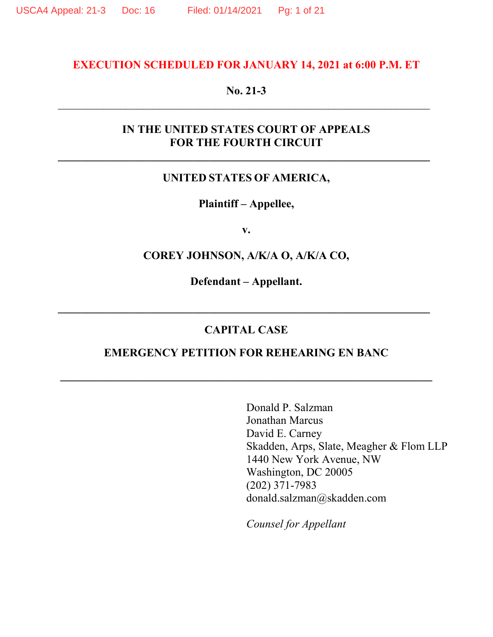# **EXECUTION SCHEDULED FOR JANUARY 14, 2021 at 6:00 P.M. ET**

### **No. 21-3**

# **IN THE UNITED STATES COURT OF APPEALS FOR THE FOURTH CIRCUIT**

# **UNITED STATES OF AMERICA,**

**Plaintiff – Appellee,** 

**v.** 

**COREY JOHNSON, A/K/A O, A/K/A CO,** 

**Defendant – Appellant.** 

### **CAPITAL CASE**

### **EMERGENCY PETITION FOR REHEARING EN BANC**

**\_\_\_\_\_\_\_\_\_\_\_\_\_\_\_\_\_\_\_\_\_\_\_\_\_\_\_\_\_\_\_\_\_\_\_\_\_\_\_\_\_\_\_\_\_\_\_\_\_\_\_\_\_\_\_\_\_\_\_\_\_\_\_\_\_\_** 

Donald P. Salzman Jonathan Marcus David E. Carney Skadden, Arps, Slate, Meagher & Flom LLP 1440 New York Avenue, NW Washington, DC 20005 (202) 371-7983 donald.salzman@skadden.com

*Counsel for Appellant*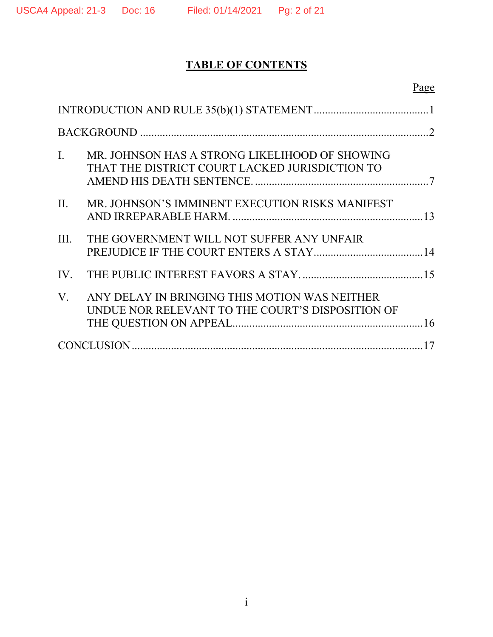# **TABLE OF CONTENTS**

| $\mathbf{I}$ . | MR. JOHNSON HAS A STRONG LIKELIHOOD OF SHOWING<br>THAT THE DISTRICT COURT LACKED JURISDICTION TO  |  |
|----------------|---------------------------------------------------------------------------------------------------|--|
| II.            | MR. JOHNSON'S IMMINENT EXECUTION RISKS MANIFEST                                                   |  |
| III.           | THE GOVERNMENT WILL NOT SUFFER ANY UNFAIR                                                         |  |
| IV.            |                                                                                                   |  |
| V.             | ANY DELAY IN BRINGING THIS MOTION WAS NEITHER<br>UNDUE NOR RELEVANT TO THE COURT'S DISPOSITION OF |  |
|                | 17                                                                                                |  |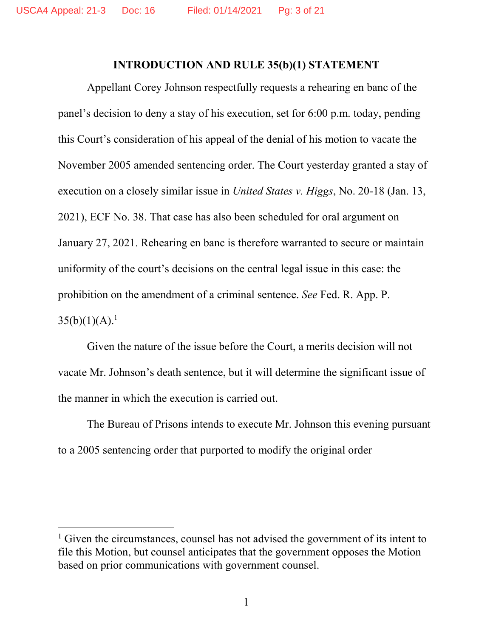#### **INTRODUCTION AND RULE 35(b)(1) STATEMENT**

Appellant Corey Johnson respectfully requests a rehearing en banc of the panel's decision to deny a stay of his execution, set for 6:00 p.m. today, pending this Court's consideration of his appeal of the denial of his motion to vacate the November 2005 amended sentencing order. The Court yesterday granted a stay of execution on a closely similar issue in *United States v. Higgs*, No. 20-18 (Jan. 13, 2021), ECF No. 38. That case has also been scheduled for oral argument on January 27, 2021. Rehearing en banc is therefore warranted to secure or maintain uniformity of the court's decisions on the central legal issue in this case: the prohibition on the amendment of a criminal sentence. *See* Fed. R. App. P.  $35(b)(1)(A).<sup>1</sup>$ 

Given the nature of the issue before the Court, a merits decision will not vacate Mr. Johnson's death sentence, but it will determine the significant issue of the manner in which the execution is carried out.

The Bureau of Prisons intends to execute Mr. Johnson this evening pursuant to a 2005 sentencing order that purported to modify the original order

<sup>&</sup>lt;sup>1</sup> Given the circumstances, counsel has not advised the government of its intent to file this Motion, but counsel anticipates that the government opposes the Motion based on prior communications with government counsel.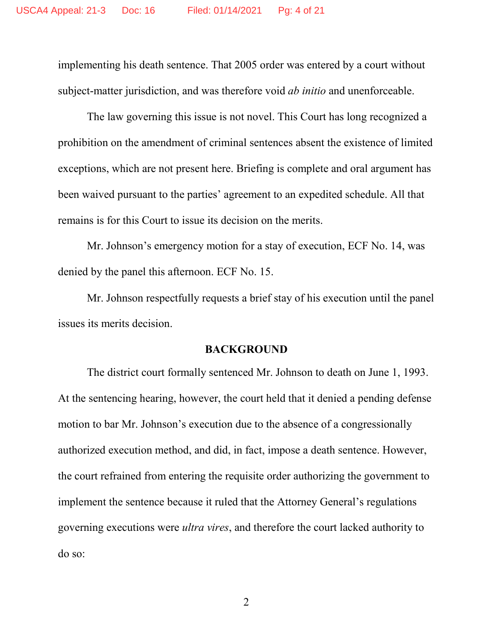implementing his death sentence. That 2005 order was entered by a court without subject-matter jurisdiction, and was therefore void *ab initio* and unenforceable.

The law governing this issue is not novel. This Court has long recognized a prohibition on the amendment of criminal sentences absent the existence of limited exceptions, which are not present here. Briefing is complete and oral argument has been waived pursuant to the parties' agreement to an expedited schedule. All that remains is for this Court to issue its decision on the merits.

Mr. Johnson's emergency motion for a stay of execution, ECF No. 14, was denied by the panel this afternoon. ECF No. 15.

Mr. Johnson respectfully requests a brief stay of his execution until the panel issues its merits decision.

#### **BACKGROUND**

The district court formally sentenced Mr. Johnson to death on June 1, 1993. At the sentencing hearing, however, the court held that it denied a pending defense motion to bar Mr. Johnson's execution due to the absence of a congressionally authorized execution method, and did, in fact, impose a death sentence. However, the court refrained from entering the requisite order authorizing the government to implement the sentence because it ruled that the Attorney General's regulations governing executions were *ultra vires*, and therefore the court lacked authority to do so: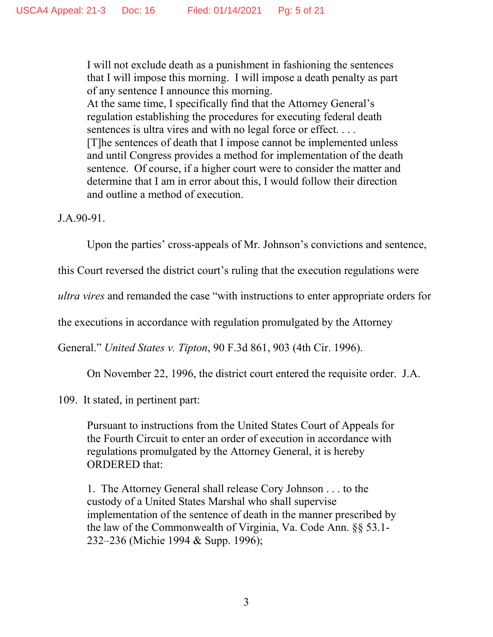I will not exclude death as a punishment in fashioning the sentences that I will impose this morning. I will impose a death penalty as part of any sentence I announce this morning. At the same time, I specifically find that the Attorney General's regulation establishing the procedures for executing federal death sentences is ultra vires and with no legal force or effect.... [T]he sentences of death that I impose cannot be implemented unless and until Congress provides a method for implementation of the death sentence. Of course, if a higher court were to consider the matter and determine that I am in error about this, I would follow their direction and outline a method of execution.

J.A.90-91.

Upon the parties' cross-appeals of Mr. Johnson's convictions and sentence,

this Court reversed the district court's ruling that the execution regulations were

*ultra vires* and remanded the case "with instructions to enter appropriate orders for

the executions in accordance with regulation promulgated by the Attorney

General." *United States v. Tipton*, 90 F.3d 861, 903 (4th Cir. 1996).

On November 22, 1996, the district court entered the requisite order. J.A.

109. It stated, in pertinent part:

Pursuant to instructions from the United States Court of Appeals for the Fourth Circuit to enter an order of execution in accordance with regulations promulgated by the Attorney General, it is hereby ORDERED that:

1. The Attorney General shall release Cory Johnson . . . to the custody of a United States Marshal who shall supervise implementation of the sentence of death in the manner prescribed by the law of the Commonwealth of Virginia, Va. Code Ann. §§ 53.1- 232–236 (Michie 1994 & Supp. 1996);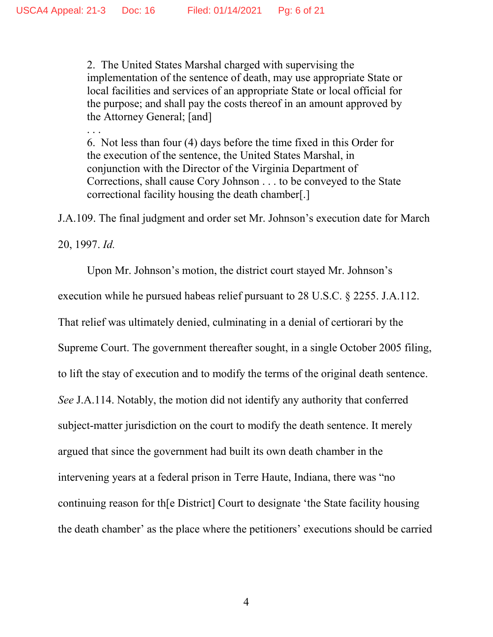2. The United States Marshal charged with supervising the implementation of the sentence of death, may use appropriate State or local facilities and services of an appropriate State or local official for the purpose; and shall pay the costs thereof in an amount approved by the Attorney General; [and]

. . . 6. Not less than four (4) days before the time fixed in this Order for the execution of the sentence, the United States Marshal, in conjunction with the Director of the Virginia Department of Corrections, shall cause Cory Johnson . . . to be conveyed to the State correctional facility housing the death chamber[.]

J.A.109. The final judgment and order set Mr. Johnson's execution date for March

20, 1997. *Id.*

Upon Mr. Johnson's motion, the district court stayed Mr. Johnson's execution while he pursued habeas relief pursuant to 28 U.S.C. § 2255. J.A.112. That relief was ultimately denied, culminating in a denial of certiorari by the Supreme Court. The government thereafter sought, in a single October 2005 filing, to lift the stay of execution and to modify the terms of the original death sentence. *See* J.A.114. Notably, the motion did not identify any authority that conferred subject-matter jurisdiction on the court to modify the death sentence. It merely argued that since the government had built its own death chamber in the intervening years at a federal prison in Terre Haute, Indiana, there was "no continuing reason for th[e District] Court to designate 'the State facility housing the death chamber' as the place where the petitioners' executions should be carried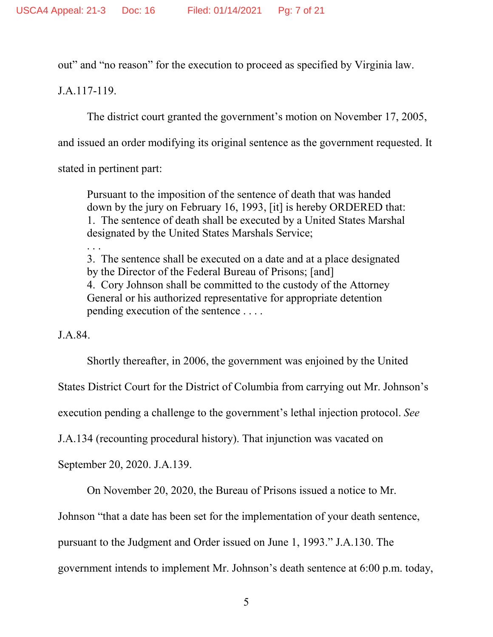out" and "no reason" for the execution to proceed as specified by Virginia law.

J.A.117-119.

The district court granted the government's motion on November 17, 2005,

and issued an order modifying its original sentence as the government requested. It

stated in pertinent part:

Pursuant to the imposition of the sentence of death that was handed down by the jury on February 16, 1993, [it] is hereby ORDERED that: 1. The sentence of death shall be executed by a United States Marshal designated by the United States Marshals Service;

. . . 3. The sentence shall be executed on a date and at a place designated by the Director of the Federal Bureau of Prisons; [and] 4. Cory Johnson shall be committed to the custody of the Attorney General or his authorized representative for appropriate detention pending execution of the sentence . . . .

J.A.84.

Shortly thereafter, in 2006, the government was enjoined by the United

States District Court for the District of Columbia from carrying out Mr. Johnson's

execution pending a challenge to the government's lethal injection protocol. *See* 

J.A.134 (recounting procedural history). That injunction was vacated on

September 20, 2020. J.A.139.

On November 20, 2020, the Bureau of Prisons issued a notice to Mr.

Johnson "that a date has been set for the implementation of your death sentence,

pursuant to the Judgment and Order issued on June 1, 1993." J.A.130. The

government intends to implement Mr. Johnson's death sentence at 6:00 p.m. today,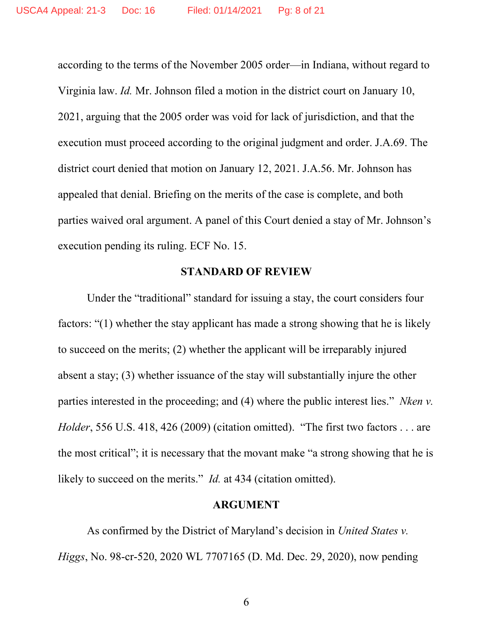according to the terms of the November 2005 order—in Indiana, without regard to Virginia law. *Id.* Mr. Johnson filed a motion in the district court on January 10, 2021, arguing that the 2005 order was void for lack of jurisdiction, and that the execution must proceed according to the original judgment and order. J.A.69. The district court denied that motion on January 12, 2021. J.A.56. Mr. Johnson has appealed that denial. Briefing on the merits of the case is complete, and both parties waived oral argument. A panel of this Court denied a stay of Mr. Johnson's execution pending its ruling. ECF No. 15.

## **STANDARD OF REVIEW**

Under the "traditional" standard for issuing a stay, the court considers four factors: "(1) whether the stay applicant has made a strong showing that he is likely to succeed on the merits; (2) whether the applicant will be irreparably injured absent a stay; (3) whether issuance of the stay will substantially injure the other parties interested in the proceeding; and (4) where the public interest lies." *Nken v. Holder*, 556 U.S. 418, 426 (2009) (citation omitted). "The first two factors . . . are the most critical"; it is necessary that the movant make "a strong showing that he is likely to succeed on the merits." *Id.* at 434 (citation omitted).

#### **ARGUMENT**

As confirmed by the District of Maryland's decision in *United States v. Higgs*, No. 98-cr-520, 2020 WL 7707165 (D. Md. Dec. 29, 2020), now pending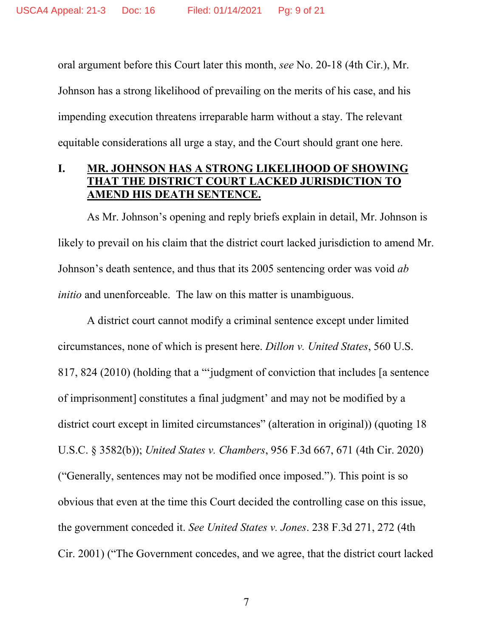oral argument before this Court later this month, *see* No. 20-18 (4th Cir.), Mr. Johnson has a strong likelihood of prevailing on the merits of his case, and his impending execution threatens irreparable harm without a stay. The relevant equitable considerations all urge a stay, and the Court should grant one here.

# **I. MR. JOHNSON HAS A STRONG LIKELIHOOD OF SHOWING THAT THE DISTRICT COURT LACKED JURISDICTION TO AMEND HIS DEATH SENTENCE.**

As Mr. Johnson's opening and reply briefs explain in detail, Mr. Johnson is likely to prevail on his claim that the district court lacked jurisdiction to amend Mr. Johnson's death sentence, and thus that its 2005 sentencing order was void *ab initio* and unenforceable. The law on this matter is unambiguous.

A district court cannot modify a criminal sentence except under limited circumstances, none of which is present here. *Dillon v. United States*, 560 U.S. 817, 824 (2010) (holding that a "'judgment of conviction that includes [a sentence of imprisonment] constitutes a final judgment' and may not be modified by a district court except in limited circumstances" (alteration in original)) (quoting 18 U.S.C. § 3582(b)); *United States v. Chambers*, 956 F.3d 667, 671 (4th Cir. 2020) ("Generally, sentences may not be modified once imposed."). This point is so obvious that even at the time this Court decided the controlling case on this issue, the government conceded it. *See United States v. Jones*. 238 F.3d 271, 272 (4th Cir. 2001) ("The Government concedes, and we agree, that the district court lacked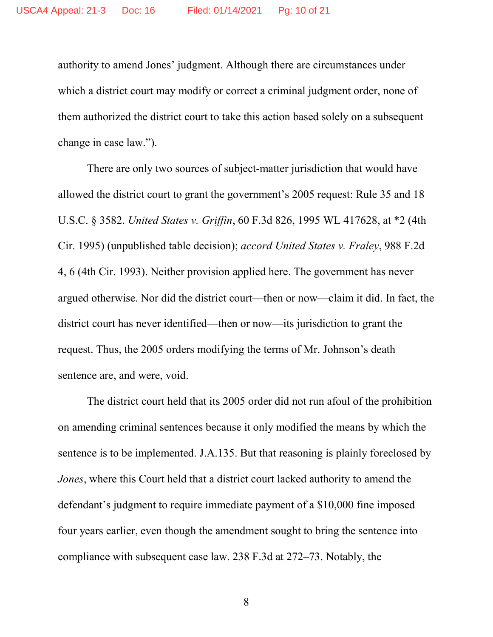authority to amend Jones' judgment. Although there are circumstances under which a district court may modify or correct a criminal judgment order, none of them authorized the district court to take this action based solely on a subsequent change in case law.").

There are only two sources of subject-matter jurisdiction that would have allowed the district court to grant the government's 2005 request: Rule 35 and 18 U.S.C. § 3582. *United States v. Griffin*, 60 F.3d 826, 1995 WL 417628, at \*2 (4th Cir. 1995) (unpublished table decision); *accord United States v. Fraley*, 988 F.2d 4, 6 (4th Cir. 1993). Neither provision applied here. The government has never argued otherwise. Nor did the district court—then or now—claim it did. In fact, the district court has never identified—then or now—its jurisdiction to grant the request. Thus, the 2005 orders modifying the terms of Mr. Johnson's death sentence are, and were, void.

The district court held that its 2005 order did not run afoul of the prohibition on amending criminal sentences because it only modified the means by which the sentence is to be implemented. J.A.135. But that reasoning is plainly foreclosed by *Jones*, where this Court held that a district court lacked authority to amend the defendant's judgment to require immediate payment of a \$10,000 fine imposed four years earlier, even though the amendment sought to bring the sentence into compliance with subsequent case law. 238 F.3d at 272–73. Notably, the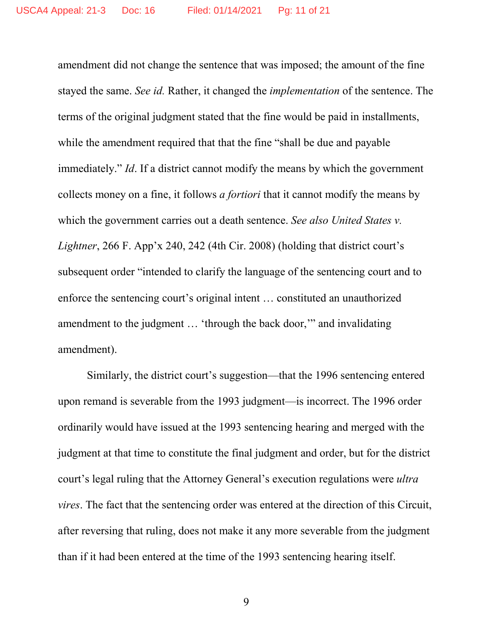amendment did not change the sentence that was imposed; the amount of the fine stayed the same. *See id.* Rather, it changed the *implementation* of the sentence. The terms of the original judgment stated that the fine would be paid in installments, while the amendment required that that the fine "shall be due and payable immediately." *Id*. If a district cannot modify the means by which the government collects money on a fine, it follows *a fortiori* that it cannot modify the means by which the government carries out a death sentence. *See also United States v. Lightner*, 266 F. App'x 240, 242 (4th Cir. 2008) (holding that district court's subsequent order "intended to clarify the language of the sentencing court and to enforce the sentencing court's original intent … constituted an unauthorized amendment to the judgment … 'through the back door,'" and invalidating amendment).

Similarly, the district court's suggestion—that the 1996 sentencing entered upon remand is severable from the 1993 judgment—is incorrect. The 1996 order ordinarily would have issued at the 1993 sentencing hearing and merged with the judgment at that time to constitute the final judgment and order, but for the district court's legal ruling that the Attorney General's execution regulations were *ultra vires*. The fact that the sentencing order was entered at the direction of this Circuit, after reversing that ruling, does not make it any more severable from the judgment than if it had been entered at the time of the 1993 sentencing hearing itself.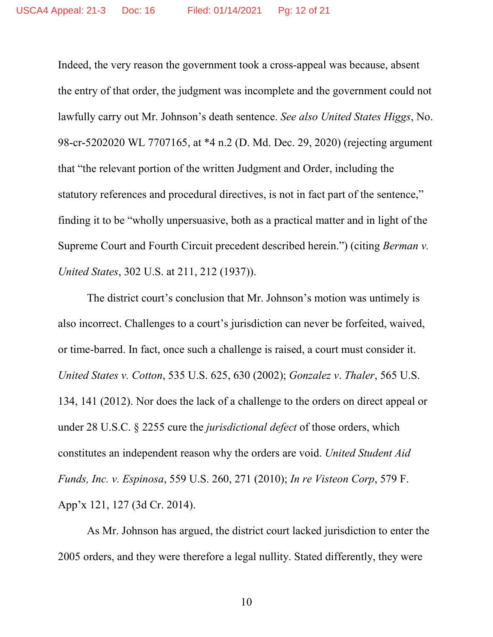Indeed, the very reason the government took a cross-appeal was because, absent the entry of that order, the judgment was incomplete and the government could not lawfully carry out Mr. Johnson's death sentence. *See also United States Higgs*, No. 98-cr-5202020 WL 7707165, at \*4 n.2 (D. Md. Dec. 29, 2020) (rejecting argument that "the relevant portion of the written Judgment and Order, including the statutory references and procedural directives, is not in fact part of the sentence," finding it to be "wholly unpersuasive, both as a practical matter and in light of the Supreme Court and Fourth Circuit precedent described herein.") (citing *Berman v. United States*, 302 U.S. at 211, 212 (1937)).

The district court's conclusion that Mr. Johnson's motion was untimely is also incorrect. Challenges to a court's jurisdiction can never be forfeited, waived, or time-barred. In fact, once such a challenge is raised, a court must consider it. *United States v. Cotton*, 535 U.S. 625, 630 (2002); *Gonzalez v*. *Thaler*, 565 U.S. 134, 141 (2012). Nor does the lack of a challenge to the orders on direct appeal or under 28 U.S.C. § 2255 cure the *jurisdictional defect* of those orders, which constitutes an independent reason why the orders are void. *United Student Aid Funds, Inc. v. Espinosa*, 559 U.S. 260, 271 (2010); *In re Visteon Corp*, 579 F. App'x 121, 127 (3d Cr. 2014).

As Mr. Johnson has argued, the district court lacked jurisdiction to enter the 2005 orders, and they were therefore a legal nullity. Stated differently, they were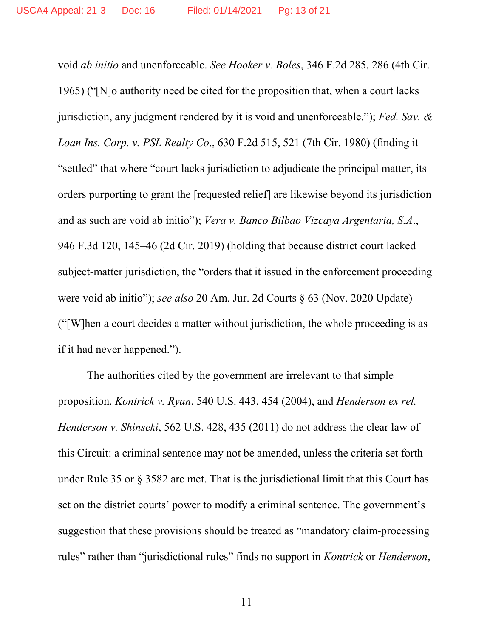void *ab initio* and unenforceable. *See Hooker v. Boles*, 346 F.2d 285, 286 (4th Cir. 1965) ("[N]o authority need be cited for the proposition that, when a court lacks jurisdiction, any judgment rendered by it is void and unenforceable."); *Fed. Sav. & Loan Ins. Corp. v. PSL Realty Co*., 630 F.2d 515, 521 (7th Cir. 1980) (finding it "settled" that where "court lacks jurisdiction to adjudicate the principal matter, its orders purporting to grant the [requested relief] are likewise beyond its jurisdiction and as such are void ab initio"); *Vera v. Banco Bilbao Vizcaya Argentaria, S.A*., 946 F.3d 120, 145–46 (2d Cir. 2019) (holding that because district court lacked subject-matter jurisdiction, the "orders that it issued in the enforcement proceeding were void ab initio"); *see also* 20 Am. Jur. 2d Courts § 63 (Nov. 2020 Update) ("[W]hen a court decides a matter without jurisdiction, the whole proceeding is as if it had never happened.").

The authorities cited by the government are irrelevant to that simple proposition. *Kontrick v. Ryan*, 540 U.S. 443, 454 (2004), and *Henderson ex rel. Henderson v. Shinseki*, 562 U.S. 428, 435 (2011) do not address the clear law of this Circuit: a criminal sentence may not be amended, unless the criteria set forth under Rule 35 or § 3582 are met. That is the jurisdictional limit that this Court has set on the district courts' power to modify a criminal sentence. The government's suggestion that these provisions should be treated as "mandatory claim-processing rules" rather than "jurisdictional rules" finds no support in *Kontrick* or *Henderson*,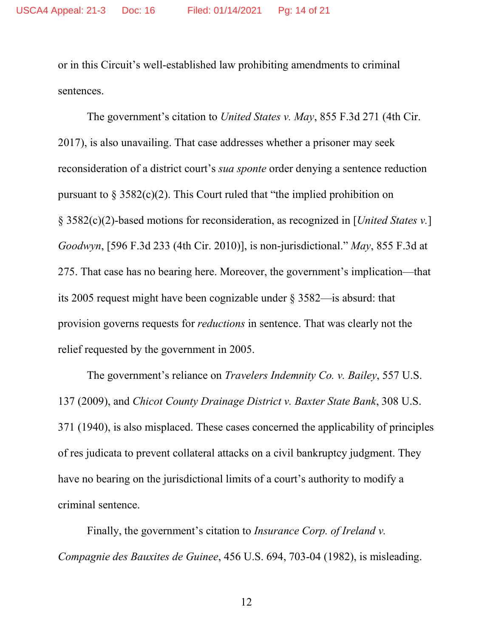or in this Circuit's well-established law prohibiting amendments to criminal sentences.

The government's citation to *United States v. May*, 855 F.3d 271 (4th Cir. 2017), is also unavailing. That case addresses whether a prisoner may seek reconsideration of a district court's *sua sponte* order denying a sentence reduction pursuant to  $\S 3582(c)(2)$ . This Court ruled that "the implied prohibition on § 3582(c)(2)-based motions for reconsideration, as recognized in [*United States v.*] *Goodwyn*, [596 F.3d 233 (4th Cir. 2010)], is non-jurisdictional." *May*, 855 F.3d at 275. That case has no bearing here. Moreover, the government's implication—that its 2005 request might have been cognizable under § 3582—is absurd: that provision governs requests for *reductions* in sentence. That was clearly not the relief requested by the government in 2005.

The government's reliance on *Travelers Indemnity Co. v. Bailey*, 557 U.S. 137 (2009), and *Chicot County Drainage District v. Baxter State Bank*, 308 U.S. 371 (1940), is also misplaced. These cases concerned the applicability of principles of res judicata to prevent collateral attacks on a civil bankruptcy judgment. They have no bearing on the jurisdictional limits of a court's authority to modify a criminal sentence.

Finally, the government's citation to *Insurance Corp. of Ireland v. Compagnie des Bauxites de Guinee*, 456 U.S. 694, 703-04 (1982), is misleading.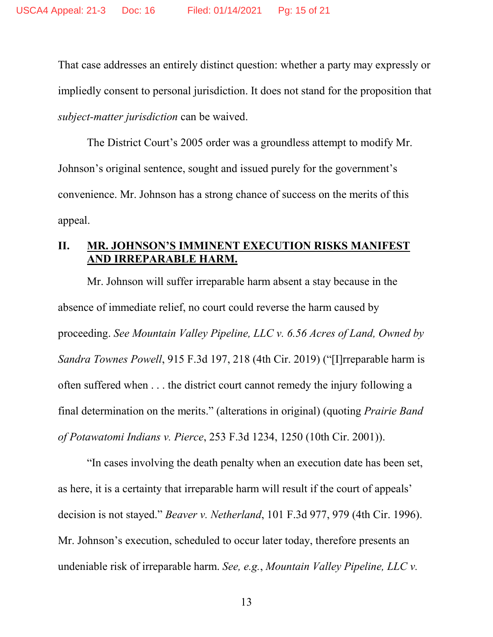That case addresses an entirely distinct question: whether a party may expressly or impliedly consent to personal jurisdiction. It does not stand for the proposition that *subject-matter jurisdiction* can be waived.

The District Court's 2005 order was a groundless attempt to modify Mr. Johnson's original sentence, sought and issued purely for the government's convenience. Mr. Johnson has a strong chance of success on the merits of this appeal.

# **II. MR. JOHNSON'S IMMINENT EXECUTION RISKS MANIFEST AND IRREPARABLE HARM.**

Mr. Johnson will suffer irreparable harm absent a stay because in the absence of immediate relief, no court could reverse the harm caused by proceeding. *See Mountain Valley Pipeline, LLC v. 6.56 Acres of Land, Owned by Sandra Townes Powell*, 915 F.3d 197, 218 (4th Cir. 2019) ("[I]rreparable harm is often suffered when . . . the district court cannot remedy the injury following a final determination on the merits." (alterations in original) (quoting *Prairie Band of Potawatomi Indians v. Pierce*, 253 F.3d 1234, 1250 (10th Cir. 2001)).

"In cases involving the death penalty when an execution date has been set, as here, it is a certainty that irreparable harm will result if the court of appeals' decision is not stayed." *Beaver v. Netherland*, 101 F.3d 977, 979 (4th Cir. 1996). Mr. Johnson's execution, scheduled to occur later today, therefore presents an undeniable risk of irreparable harm. *See, e.g.*, *Mountain Valley Pipeline, LLC v.*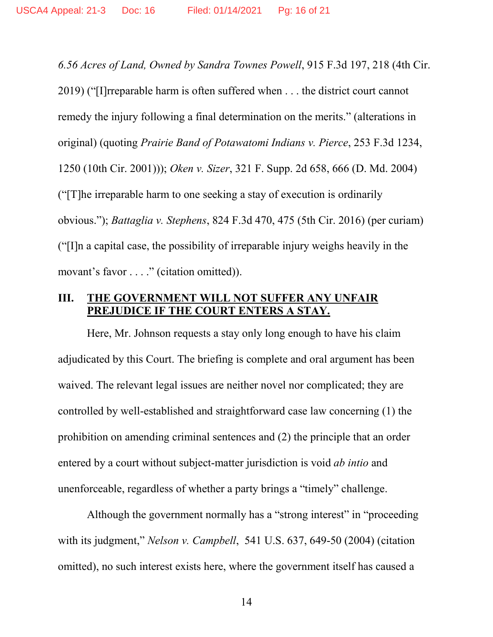*6.56 Acres of Land, Owned by Sandra Townes Powell*, 915 F.3d 197, 218 (4th Cir. 2019) ("[I]rreparable harm is often suffered when . . . the district court cannot remedy the injury following a final determination on the merits." (alterations in original) (quoting *Prairie Band of Potawatomi Indians v. Pierce*, 253 F.3d 1234, 1250 (10th Cir. 2001))); *Oken v. Sizer*, 321 F. Supp. 2d 658, 666 (D. Md. 2004) ("[T]he irreparable harm to one seeking a stay of execution is ordinarily obvious."); *Battaglia v. Stephens*, 824 F.3d 470, 475 (5th Cir. 2016) (per curiam) ("[I]n a capital case, the possibility of irreparable injury weighs heavily in the movant's favor . . . ." (citation omitted)).

# **III. THE GOVERNMENT WILL NOT SUFFER ANY UNFAIR PREJUDICE IF THE COURT ENTERS A STAY.**

Here, Mr. Johnson requests a stay only long enough to have his claim adjudicated by this Court. The briefing is complete and oral argument has been waived. The relevant legal issues are neither novel nor complicated; they are controlled by well-established and straightforward case law concerning (1) the prohibition on amending criminal sentences and (2) the principle that an order entered by a court without subject-matter jurisdiction is void *ab intio* and unenforceable, regardless of whether a party brings a "timely" challenge.

Although the government normally has a "strong interest" in "proceeding with its judgment," *Nelson v. Campbell*, 541 U.S. 637, 649-50 (2004) (citation omitted), no such interest exists here, where the government itself has caused a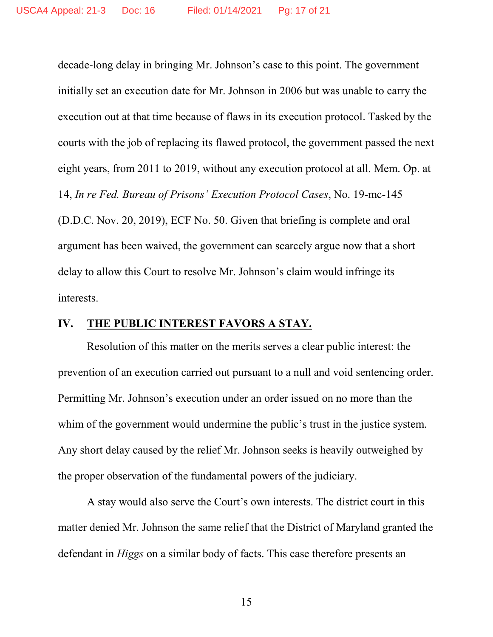decade-long delay in bringing Mr. Johnson's case to this point. The government initially set an execution date for Mr. Johnson in 2006 but was unable to carry the execution out at that time because of flaws in its execution protocol. Tasked by the courts with the job of replacing its flawed protocol, the government passed the next eight years, from 2011 to 2019, without any execution protocol at all. Mem. Op. at 14, *In re Fed. Bureau of Prisons' Execution Protocol Cases*, No. 19-mc-145 (D.D.C. Nov. 20, 2019), ECF No. 50. Given that briefing is complete and oral argument has been waived, the government can scarcely argue now that a short delay to allow this Court to resolve Mr. Johnson's claim would infringe its interests.

## **IV. THE PUBLIC INTEREST FAVORS A STAY.**

Resolution of this matter on the merits serves a clear public interest: the prevention of an execution carried out pursuant to a null and void sentencing order. Permitting Mr. Johnson's execution under an order issued on no more than the whim of the government would undermine the public's trust in the justice system. Any short delay caused by the relief Mr. Johnson seeks is heavily outweighed by the proper observation of the fundamental powers of the judiciary.

A stay would also serve the Court's own interests. The district court in this matter denied Mr. Johnson the same relief that the District of Maryland granted the defendant in *Higgs* on a similar body of facts. This case therefore presents an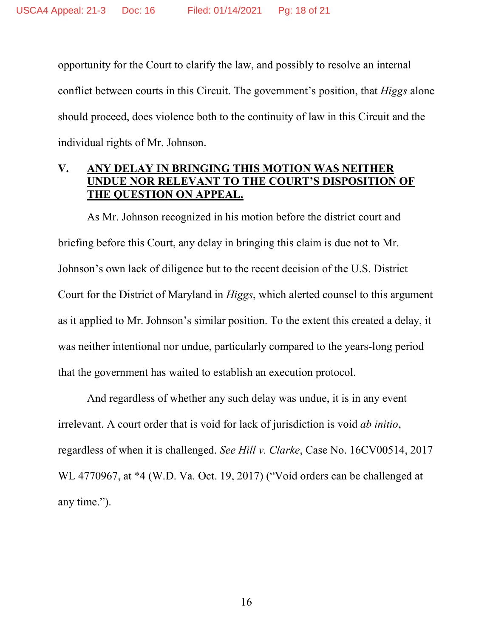opportunity for the Court to clarify the law, and possibly to resolve an internal conflict between courts in this Circuit. The government's position, that *Higgs* alone should proceed, does violence both to the continuity of law in this Circuit and the individual rights of Mr. Johnson.

# **V. ANY DELAY IN BRINGING THIS MOTION WAS NEITHER UNDUE NOR RELEVANT TO THE COURT'S DISPOSITION OF THE QUESTION ON APPEAL.**

As Mr. Johnson recognized in his motion before the district court and briefing before this Court, any delay in bringing this claim is due not to Mr. Johnson's own lack of diligence but to the recent decision of the U.S. District Court for the District of Maryland in *Higgs*, which alerted counsel to this argument as it applied to Mr. Johnson's similar position. To the extent this created a delay, it was neither intentional nor undue, particularly compared to the years-long period that the government has waited to establish an execution protocol.

And regardless of whether any such delay was undue, it is in any event irrelevant. A court order that is void for lack of jurisdiction is void *ab initio*, regardless of when it is challenged. *See Hill v. Clarke*, Case No. 16CV00514, 2017 WL 4770967, at \*4 (W.D. Va. Oct. 19, 2017) ("Void orders can be challenged at any time.").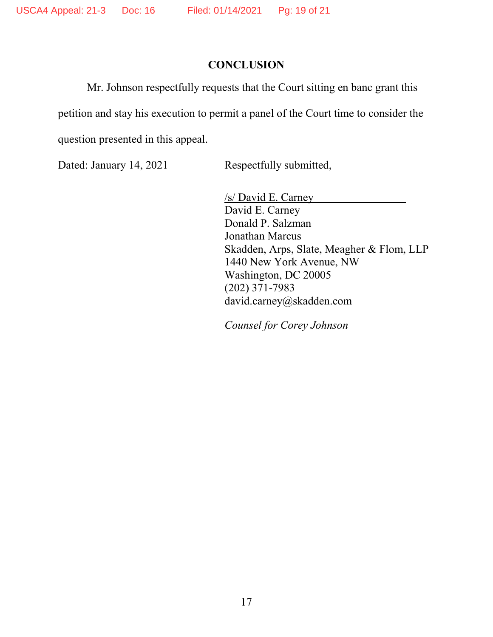# **CONCLUSION**

Mr. Johnson respectfully requests that the Court sitting en banc grant this petition and stay his execution to permit a panel of the Court time to consider the question presented in this appeal.

Dated: January 14, 2021 Respectfully submitted,

/s/ David E. Carney David E. Carney Donald P. Salzman Jonathan Marcus Skadden, Arps, Slate, Meagher & Flom, LLP 1440 New York Avenue, NW Washington, DC 20005 (202) 371-7983 david.carney@skadden.com

*Counsel for Corey Johnson*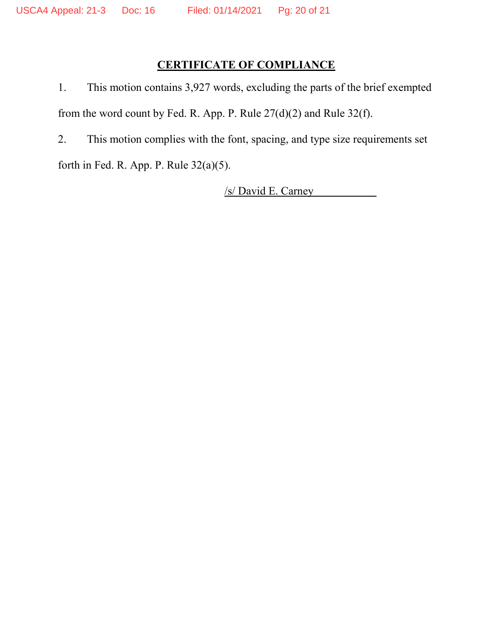# **CERTIFICATE OF COMPLIANCE**

1. This motion contains 3,927 words, excluding the parts of the brief exempted from the word count by Fed. R. App. P. Rule 27(d)(2) and Rule 32(f).

2. This motion complies with the font, spacing, and type size requirements set

forth in Fed. R. App. P. Rule 32(a)(5).

/s/ David E. Carney